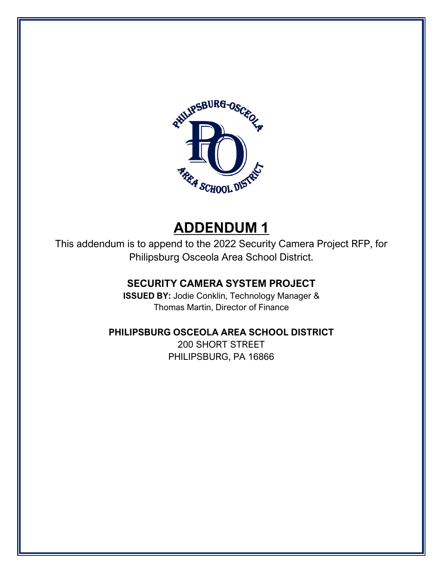

# **ADDENDUM 1**

This addendum is to append to the 2022 Security Camera Project RFP, for Philipsburg Osceola Area School District.

## **SECURITY CAMERA SYSTEM PROJECT**

**ISSUED BY:** Jodie Conklin, Technology Manager & Thomas Martin, Director of Finance

## **PHILIPSBURG OSCEOLA AREA SCHOOL DISTRICT**

200 SHORT STREET PHILIPSBURG, PA 16866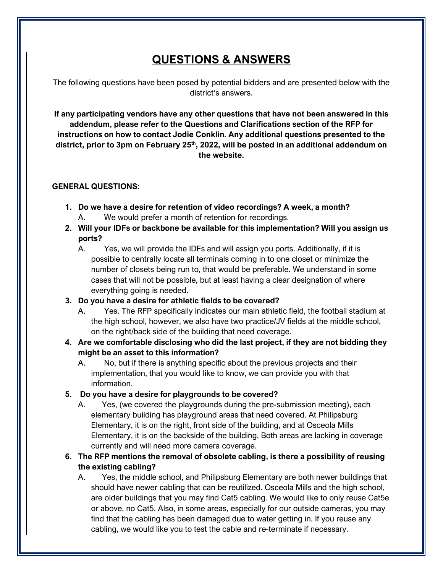## **QUESTIONS & ANSWERS**

The following questions have been posed by potential bidders and are presented below with the district's answers.

**If any participating vendors have any other questions that have not been answered in this addendum, please refer to the Questions and Clarifications section of the RFP for instructions on how to contact Jodie Conklin. Any additional questions presented to the**  district, prior to 3pm on February 25<sup>th</sup>, 2022, will be posted in an additional addendum on **the website.**

#### **GENERAL QUESTIONS:**

- **1. Do we have a desire for retention of video recordings? A week, a month?** A. We would prefer a month of retention for recordings.
- **2. Will your IDFs or backbone be available for this implementation? Will you assign us ports?**
	- A. Yes, we will provide the IDFs and will assign you ports. Additionally, if it is possible to centrally locate all terminals coming in to one closet or minimize the number of closets being run to, that would be preferable. We understand in some cases that will not be possible, but at least having a clear designation of where everything going is needed.

## **3. Do you have a desire for athletic fields to be covered?**

- A. Yes. The RFP specifically indicates our main athletic field, the football stadium at the high school, however, we also have two practice/JV fields at the middle school, on the right/back side of the building that need coverage.
- **4. Are we comfortable disclosing who did the last project, if they are not bidding they might be an asset to this information?**
	- A. No, but if there is anything specific about the previous projects and their implementation, that you would like to know, we can provide you with that information.
- **5. Do you have a desire for playgrounds to be covered?**
	- A. Yes, (we covered the playgrounds during the pre-submission meeting), each elementary building has playground areas that need covered. At Philipsburg Elementary, it is on the right, front side of the building, and at Osceola Mills Elementary, it is on the backside of the building. Both areas are lacking in coverage currently and will need more camera coverage.
- **6. The RFP mentions the removal of obsolete cabling, is there a possibility of reusing the existing cabling?** 
	- A. Yes, the middle school, and Philipsburg Elementary are both newer buildings that should have newer cabling that can be reutilized. Osceola Mills and the high school, are older buildings that you may find Cat5 cabling. We would like to only reuse Cat5e or above, no Cat5. Also, in some areas, especially for our outside cameras, you may find that the cabling has been damaged due to water getting in. If you reuse any cabling, we would like you to test the cable and re-terminate if necessary.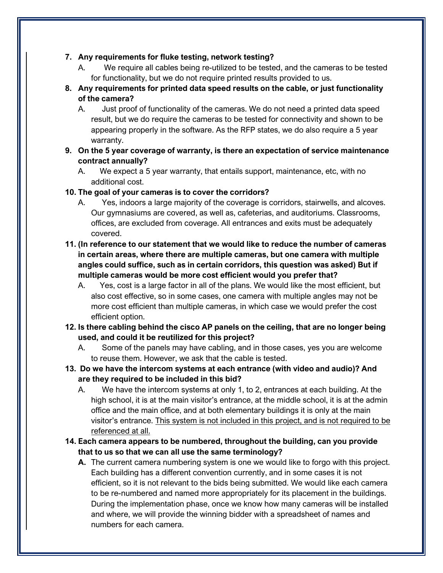#### **7. Any requirements for fluke testing, network testing?**

- A. We require all cables being re-utilized to be tested, and the cameras to be tested for functionality, but we do not require printed results provided to us.
- **8. Any requirements for printed data speed results on the cable, or just functionality of the camera?**
	- A. Just proof of functionality of the cameras. We do not need a printed data speed result, but we do require the cameras to be tested for connectivity and shown to be appearing properly in the software. As the RFP states, we do also require a 5 year warranty.
- **9. On the 5 year coverage of warranty, is there an expectation of service maintenance contract annually?**
	- A. We expect a 5 year warranty, that entails support, maintenance, etc, with no additional cost.

#### **10. The goal of your cameras is to cover the corridors?**

- A. Yes, indoors a large majority of the coverage is corridors, stairwells, and alcoves. Our gymnasiums are covered, as well as, cafeterias, and auditoriums. Classrooms, offices, are excluded from coverage. All entrances and exits must be adequately covered.
- **11. (In reference to our statement that we would like to reduce the number of cameras in certain areas, where there are multiple cameras, but one camera with multiple angles could suffice, such as in certain corridors, this question was asked) But if multiple cameras would be more cost efficient would you prefer that?**
	- A. Yes, cost is a large factor in all of the plans. We would like the most efficient, but also cost effective, so in some cases, one camera with multiple angles may not be more cost efficient than multiple cameras, in which case we would prefer the cost efficient option.
- **12. Is there cabling behind the cisco AP panels on the ceiling, that are no longer being used, and could it be reutilized for this project?**
	- A. Some of the panels may have cabling, and in those cases, yes you are welcome to reuse them. However, we ask that the cable is tested.
- **13. Do we have the intercom systems at each entrance (with video and audio)? And are they required to be included in this bid?**
	- A. We have the intercom systems at only 1, to 2, entrances at each building. At the high school, it is at the main visitor's entrance, at the middle school, it is at the admin office and the main office, and at both elementary buildings it is only at the main visitor's entrance. This system is not included in this project, and is not required to be referenced at all.
- **14. Each camera appears to be numbered, throughout the building, can you provide that to us so that we can all use the same terminology?**
	- **A.** The current camera numbering system is one we would like to forgo with this project. Each building has a different convention currently, and in some cases it is not efficient, so it is not relevant to the bids being submitted. We would like each camera to be re-numbered and named more appropriately for its placement in the buildings. During the implementation phase, once we know how many cameras will be installed and where, we will provide the winning bidder with a spreadsheet of names and numbers for each camera.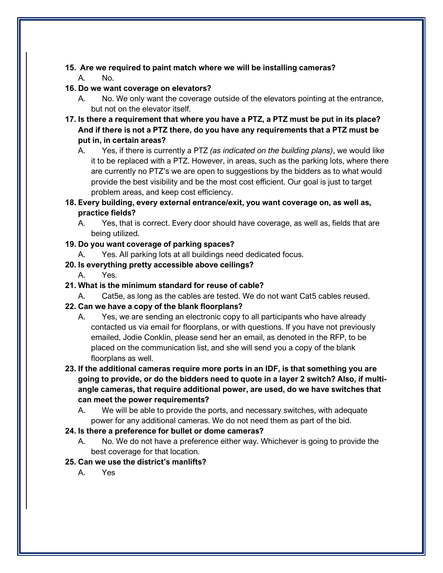## **15. Are we required to paint match where we will be installing cameras?**

A. No.

## **16. Do we want coverage on elevators?**

- A. No. We only want the coverage outside of the elevators pointing at the entrance, but not on the elevator itself.
- **17. Is there a requirement that where you have a PTZ, a PTZ must be put in its place? And if there is not a PTZ there, do you have any requirements that a PTZ must be put in, in certain areas?**
	- A. Yes, if there is currently a PTZ *(as indicated on the building plans)*, we would like it to be replaced with a PTZ. However, in areas, such as the parking lots, where there are currently no PTZ's we are open to suggestions by the bidders as to what would provide the best visibility and be the most cost efficient. Our goal is just to target problem areas, and keep cost efficiency.
- **18. Every building, every external entrance/exit, you want coverage on, as well as, practice fields?**
	- A. Yes, that is correct. Every door should have coverage, as well as, fields that are being utilized.

## **19. Do you want coverage of parking spaces?**

A. Yes. All parking lots at all buildings need dedicated focus.

## **20. Is everything pretty accessible above ceilings?**

- A. Yes.
- **21. What is the minimum standard for reuse of cable?**
	- A. Cat5e, as long as the cables are tested. We do not want Cat5 cables reused.

## **22. Can we have a copy of the blank floorplans?**

- A. Yes, we are sending an electronic copy to all participants who have already contacted us via email for floorplans, or with questions. If you have not previously emailed, Jodie Conklin, please send her an email, as denoted in the RFP, to be placed on the communication list, and she will send you a copy of the blank floorplans as well.
- **23. If the additional cameras require more ports in an IDF, is that something you are going to provide, or do the bidders need to quote in a layer 2 switch? Also, if multiangle cameras, that require additional power, are used, do we have switches that can meet the power requirements?**
	- A. We will be able to provide the ports, and necessary switches, with adequate power for any additional cameras. We do not need them as part of the bid.

## **24. Is there a preference for bullet or dome cameras?**

A. No. We do not have a preference either way. Whichever is going to provide the best coverage for that location.

## **25. Can we use the district's manlifts?**

A. Yes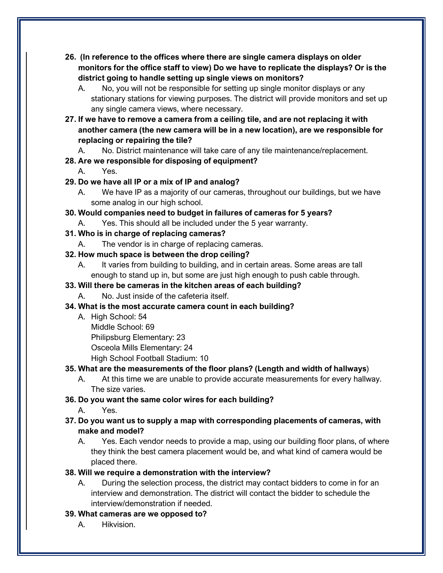- **26. (In reference to the offices where there are single camera displays on older monitors for the office staff to view) Do we have to replicate the displays? Or is the district going to handle setting up single views on monitors?**
	- A. No, you will not be responsible for setting up single monitor displays or any stationary stations for viewing purposes. The district will provide monitors and set up any single camera views, where necessary.
- **27. If we have to remove a camera from a ceiling tile, and are not replacing it with another camera (the new camera will be in a new location), are we responsible for replacing or repairing the tile?**
	- A. No. District maintenance will take care of any tile maintenance/replacement.

## **28. Are we responsible for disposing of equipment?**

- A. Yes.
- **29. Do we have all IP or a mix of IP and analog?**
	- A. We have IP as a majority of our cameras, throughout our buildings, but we have some analog in our high school.
- **30. Would companies need to budget in failures of cameras for 5 years?**
	- A. Yes. This should all be included under the 5 year warranty.

## **31. Who is in charge of replacing cameras?**

A. The vendor is in charge of replacing cameras.

## **32. How much space is between the drop ceiling?**

A. It varies from building to building, and in certain areas. Some areas are tall enough to stand up in, but some are just high enough to push cable through.

## **33. Will there be cameras in the kitchen areas of each building?**

A. No. Just inside of the cafeteria itself.

## **34. What is the most accurate camera count in each building?**

- A. High School: 54
	- Middle School: 69
	- Philipsburg Elementary: 23

Osceola Mills Elementary: 24

High School Football Stadium: 10

## **35. What are the measurements of the floor plans? (Length and width of hallways**)

A. At this time we are unable to provide accurate measurements for every hallway. The size varies.

## **36. Do you want the same color wires for each building?**

A. Yes.

## **37. Do you want us to supply a map with corresponding placements of cameras, with make and model?**

A. Yes. Each vendor needs to provide a map, using our building floor plans, of where they think the best camera placement would be, and what kind of camera would be placed there.

## **38. Will we require a demonstration with the interview?**

A. During the selection process, the district may contact bidders to come in for an interview and demonstration. The district will contact the bidder to schedule the interview/demonstration if needed.

## **39. What cameras are we opposed to?**

A. Hikvision.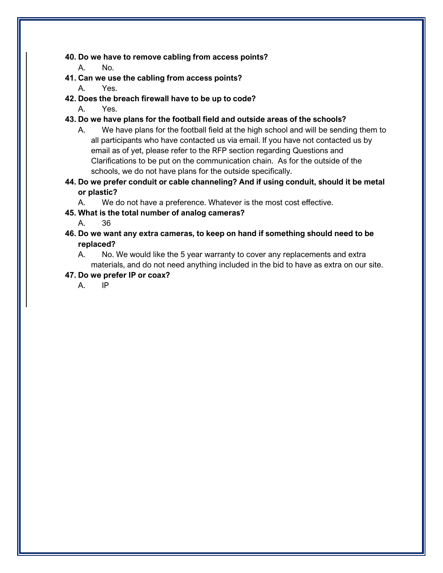#### **40. Do we have to remove cabling from access points?**

- A. No.
- **41. Can we use the cabling from access points?**
	- A. Yes.
- **42. Does the breach firewall have to be up to code?**
	- A. Yes.
- **43. Do we have plans for the football field and outside areas of the schools?**
	- A. We have plans for the football field at the high school and will be sending them to all participants who have contacted us via email. If you have not contacted us by email as of yet, please refer to the RFP section regarding Questions and Clarifications to be put on the communication chain. As for the outside of the schools, we do not have plans for the outside specifically.
- **44. Do we prefer conduit or cable channeling? And if using conduit, should it be metal or plastic?**
	- A. We do not have a preference. Whatever is the most cost effective.
- **45. What is the total number of analog cameras?**
	- A. 36
- **46. Do we want any extra cameras, to keep on hand if something should need to be replaced?**
	- A. No. We would like the 5 year warranty to cover any replacements and extra materials, and do not need anything included in the bid to have as extra on our site.

#### **47. Do we prefer IP or coax?**

A. IP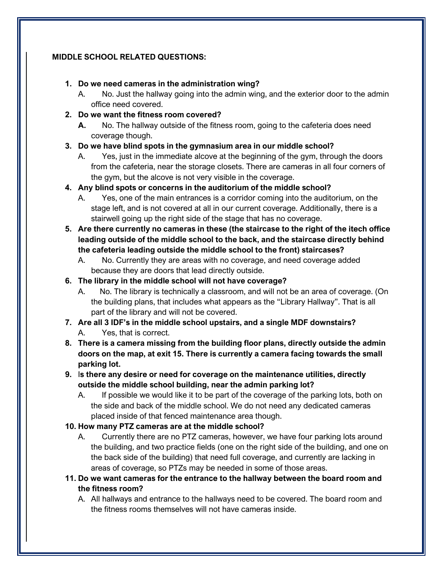#### **MIDDLE SCHOOL RELATED QUESTIONS:**

#### **1. Do we need cameras in the administration wing?**

- A. No. Just the hallway going into the admin wing, and the exterior door to the admin office need covered.
- **2. Do we want the fitness room covered?**
	- **A.** No. The hallway outside of the fitness room, going to the cafeteria does need coverage though.
- **3. Do we have blind spots in the gymnasium area in our middle school?** 
	- A. Yes, just in the immediate alcove at the beginning of the gym, through the doors from the cafeteria, near the storage closets. There are cameras in all four corners of the gym, but the alcove is not very visible in the coverage.
- **4. Any blind spots or concerns in the auditorium of the middle school?**
	- A. Yes, one of the main entrances is a corridor coming into the auditorium, on the stage left, and is not covered at all in our current coverage. Additionally, there is a stairwell going up the right side of the stage that has no coverage.
- **5. Are there currently no cameras in these (the staircase to the right of the itech office leading outside of the middle school to the back, and the staircase directly behind the cafeteria leading outside the middle school to the front) staircases?**
	- A. No. Currently they are areas with no coverage, and need coverage added because they are doors that lead directly outside.

## **6. The library in the middle school will not have coverage?**

- A. No. The library is technically a classroom, and will not be an area of coverage. (On the building plans, that includes what appears as the "Library Hallway". That is all part of the library and will not be covered.
- **7. Are all 3 IDF's in the middle school upstairs, and a single MDF downstairs?** A. Yes, that is correct.
- **8. There is a camera missing from the building floor plans, directly outside the admin doors on the map, at exit 15. There is currently a camera facing towards the small parking lot.**
- **9.** I**s there any desire or need for coverage on the maintenance utilities, directly outside the middle school building, near the admin parking lot?**
	- A. If possible we would like it to be part of the coverage of the parking lots, both on the side and back of the middle school. We do not need any dedicated cameras placed inside of that fenced maintenance area though.

## **10. How many PTZ cameras are at the middle school?**

- A. Currently there are no PTZ cameras, however, we have four parking lots around the building, and two practice fields (one on the right side of the building, and one on the back side of the building) that need full coverage, and currently are lacking in areas of coverage, so PTZs may be needed in some of those areas.
- **11. Do we want cameras for the entrance to the hallway between the board room and the fitness room?**
	- A. All hallways and entrance to the hallways need to be covered. The board room and the fitness rooms themselves will not have cameras inside.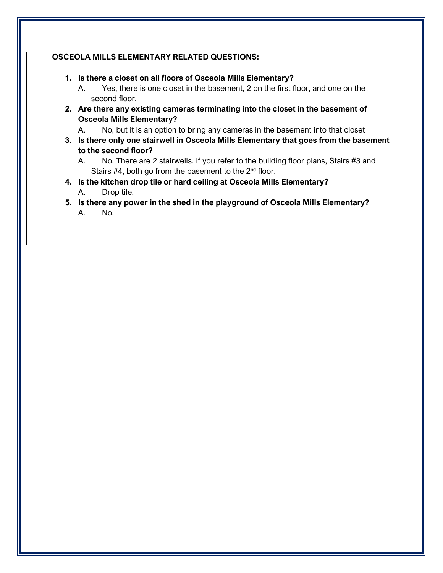#### **OSCEOLA MILLS ELEMENTARY RELATED QUESTIONS:**

- **1. Is there a closet on all floors of Osceola Mills Elementary?**
	- A. Yes, there is one closet in the basement, 2 on the first floor, and one on the second floor.
- **2. Are there any existing cameras terminating into the closet in the basement of Osceola Mills Elementary?**
	- A. No, but it is an option to bring any cameras in the basement into that closet
- **3. Is there only one stairwell in Osceola Mills Elementary that goes from the basement to the second floor?**
	- A. No. There are 2 stairwells. If you refer to the building floor plans, Stairs #3 and Stairs  $#4$ , both go from the basement to the  $2<sup>nd</sup>$  floor.
- **4. Is the kitchen drop tile or hard ceiling at Osceola Mills Elementary?**
	- A. Drop tile.
- **5. Is there any power in the shed in the playground of Osceola Mills Elementary?**
	- A. No.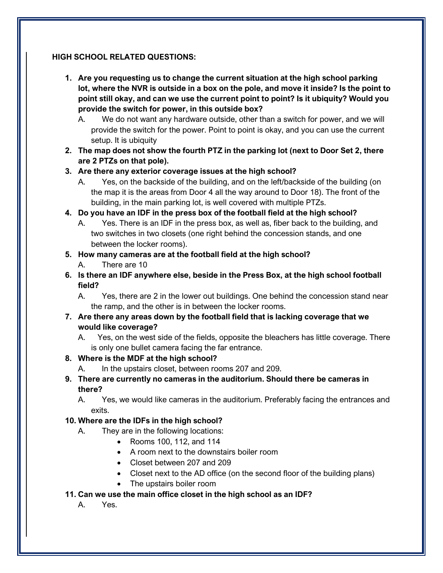#### **HIGH SCHOOL RELATED QUESTIONS:**

- **1. Are you requesting us to change the current situation at the high school parking lot, where the NVR is outside in a box on the pole, and move it inside? Is the point to point still okay, and can we use the current point to point? Is it ubiquity? Would you provide the switch for power, in this outside box?**
	- A. We do not want any hardware outside, other than a switch for power, and we will provide the switch for the power. Point to point is okay, and you can use the current setup. It is ubiquity
- **2. The map does not show the fourth PTZ in the parking lot (next to Door Set 2, there are 2 PTZs on that pole).**

## **3. Are there any exterior coverage issues at the high school?**

- A. Yes, on the backside of the building, and on the left/backside of the building (on the map it is the areas from Door 4 all the way around to Door 18). The front of the building, in the main parking lot, is well covered with multiple PTZs.
- **4. Do you have an IDF in the press box of the football field at the high school?**
	- A. Yes. There is an IDF in the press box, as well as, fiber back to the building, and two switches in two closets (one right behind the concession stands, and one between the locker rooms).

## **5. How many cameras are at the football field at the high school?**

- A. There are 10
- **6. Is there an IDF anywhere else, beside in the Press Box, at the high school football field?**
	- A. Yes, there are 2 in the lower out buildings. One behind the concession stand near the ramp, and the other is in between the locker rooms.
- **7. Are there any areas down by the football field that is lacking coverage that we would like coverage?**
	- A. Yes, on the west side of the fields, opposite the bleachers has little coverage. There is only one bullet camera facing the far entrance.

## **8. Where is the MDF at the high school?**

- A. In the upstairs closet, between rooms 207 and 209.
- **9. There are currently no cameras in the auditorium. Should there be cameras in there?**

A. Yes, we would like cameras in the auditorium. Preferably facing the entrances and exits.

## **10. Where are the IDFs in the high school?**

- A. They are in the following locations:
	- Rooms 100, 112, and 114
	- A room next to the downstairs boiler room
	- Closet between 207 and 209
	- Closet next to the AD office (on the second floor of the building plans)
	- The upstairs boiler room
- **11. Can we use the main office closet in the high school as an IDF?**
	- A. Yes.